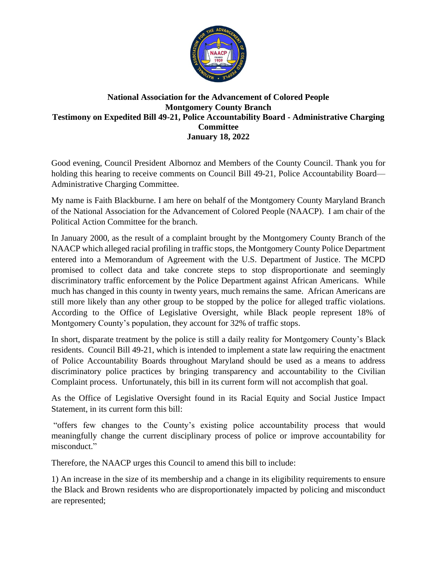

## **National Association for the Advancement of Colored People Montgomery County Branch Testimony on Expedited Bill 49-21, Police Accountability Board - Administrative Charging Committee January 18, 2022**

Good evening, Council President Albornoz and Members of the County Council. Thank you for holding this hearing to receive comments on Council Bill 49-21, Police Accountability Board— Administrative Charging Committee.

My name is Faith Blackburne. I am here on behalf of the Montgomery County Maryland Branch of the National Association for the Advancement of Colored People (NAACP). I am chair of the Political Action Committee for the branch.

In January 2000, as the result of a complaint brought by the Montgomery County Branch of the NAACP which alleged racial profiling in traffic stops, the Montgomery County Police Department entered into a Memorandum of Agreement with the U.S. Department of Justice. The MCPD promised to collect data and take concrete steps to stop disproportionate and seemingly discriminatory traffic enforcement by the Police Department against African Americans. While much has changed in this county in twenty years, much remains the same. African Americans are still more likely than any other group to be stopped by the police for alleged traffic violations. According to the Office of Legislative Oversight, while Black people represent 18% of Montgomery County's population, they account for 32% of traffic stops.

In short, disparate treatment by the police is still a daily reality for Montgomery County's Black residents. Council Bill 49-21, which is intended to implement a state law requiring the enactment of Police Accountability Boards throughout Maryland should be used as a means to address discriminatory police practices by bringing transparency and accountability to the Civilian Complaint process. Unfortunately, this bill in its current form will not accomplish that goal.

As the Office of Legislative Oversight found in its Racial Equity and Social Justice Impact Statement, in its current form this bill:

"offers few changes to the County's existing police accountability process that would meaningfully change the current disciplinary process of police or improve accountability for misconduct."

Therefore, the NAACP urges this Council to amend this bill to include:

1) An increase in the size of its membership and a change in its eligibility requirements to ensure the Black and Brown residents who are disproportionately impacted by policing and misconduct are represented;